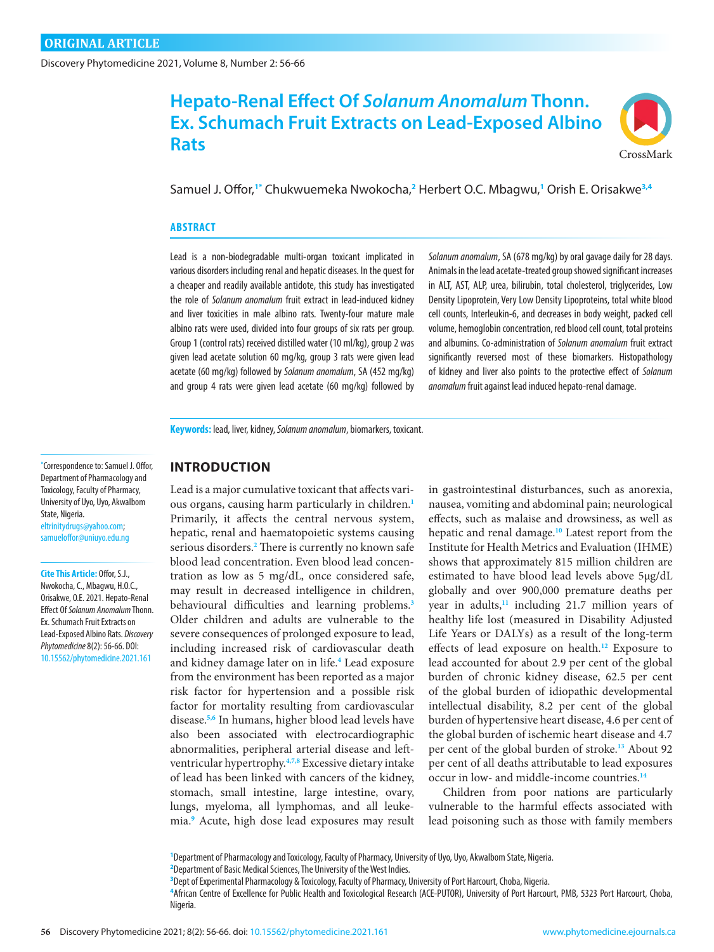Discovery Phytomedicine 2021, Volume 8, Number 2: 56-66

# **Hepato-Renal Effect Of** *Solanum Anomalum* **Thonn. Ex. Schumach Fruit Extracts on Lead-Exposed Albino Rats**



Samuel J. Offor,**1\*** Chukwuemeka Nwokocha,**<sup>2</sup>** Herbert O.C. Mbagwu,**<sup>1</sup>** Orish E. Orisakwe**3,4**

#### **ABSTRACT**

Lead is a non-biodegradable multi-organ toxicant implicated in various disorders including renal and hepatic diseases. In the quest for a cheaper and readily available antidote, this study has investigated the role of *Solanum anomalum* fruit extract in lead-induced kidney and liver toxicities in male albino rats. Twenty-four mature male albino rats were used, divided into four groups of six rats per group. Group 1 (control rats) received distilled water (10 ml/kg), group 2 was given lead acetate solution 60 mg/kg, group 3 rats were given lead acetate (60 mg/kg) followed by *Solanum anomalum*, SA (452 mg/kg) and group 4 rats were given lead acetate (60 mg/kg) followed by

*Solanum anomalum*, SA (678 mg/kg) by oral gavage daily for 28 days. Animals in the lead acetate-treated group showed significant increases in ALT, AST, ALP, urea, bilirubin, total cholesterol, triglycerides, Low Density Lipoprotein, Very Low Density Lipoproteins, total white blood cell counts, Interleukin-6, and decreases in body weight, packed cell volume, hemoglobin concentration, red blood cell count, total proteins and albumins. Co-administration of *Solanum anomalum* fruit extract significantly reversed most of these biomarkers. Histopathology of kidney and liver also points to the protective effect of *Solanum anomalum* fruit against lead induced hepato-renal damage.

**Keywords:** lead, liver, kidney, *Solanum anomalum*, biomarkers, toxicant.

#### **\*** Correspondence to: Samuel J. Offor, Department of Pharmacology and Toxicology, Faculty of Pharmacy, University of Uyo, Uyo, AkwaIbom State, Nigeria*.* [eltrinitydrugs@yahoo.com;](mailto:eltrinitydrugs@yahoo.com) [samueloffor@uniuyo.edu.ng](mailto:samueloffor@uniuyo.edu.ng)

**Cite This Article:** Offor, S.J., Nwokocha, C., Mbagwu, H.O.C., Orisakwe, O.E. 2021. Hepato-Renal Effect Of *Solanum Anomalum* Thonn. Ex. Schumach Fruit Extracts on Lead-Exposed Albino Rats. *Discovery Phytomedicine* 8(2): 56-66. DOI: [10.15562/phytomedicine.2021.161](https://doi.org/10.15562/phytomedicine.2021.161)

# **INTRODUCTION**

Lead is a major cumulative toxicant that affects various organs, causing harm particularly in children.**[1](#page-9-0)** Primarily, it affects the central nervous system, hepatic, renal and haematopoietic systems causing serious disorders.**[2](#page-9-0)** There is currently no known safe blood lead concentration. Even blood lead concentration as low as 5 mg/dL, once considered safe, may result in decreased intelligence in children, behavioural difficulties and learning problems.**[3](#page-9-0)** Older children and adults are vulnerable to the severe consequences of prolonged exposure to lead, including increased risk of cardiovascular death and kidney damage later on in life.**[4](#page-9-0)** Lead exposure from the environment has been reported as a major risk factor for hypertension and a possible risk factor for mortality resulting from cardiovascular disease.**[5,6](#page-9-0)** In humans, higher blood lead levels have also been associated with electrocardiographic abnormalities, peripheral arterial disease and leftventricular hypertrophy.**[4,7,8](#page-9-0)** Excessive dietary intake of lead has been linked with cancers of the kidney, stomach, small intestine, large intestine, ovary, lungs, myeloma, all lymphomas, and all leukemia.**<sup>9</sup>** Acute, high dose lead exposures may result in gastrointestinal disturbances, such as anorexia, nausea, vomiting and abdominal pain; neurological effects, such as malaise and drowsiness, as well as hepatic and renal damage.**[10](#page-9-0)** Latest report from the Institute for Health Metrics and Evaluation (IHME) shows that approximately 815 million children are estimated to have blood lead levels above 5μg/dL globally and over 900,000 premature deaths per year in adults,**[11](#page-9-0)** including 21.7 million years of healthy life lost (measured in Disability Adjusted Life Years or DALYs) as a result of the long-term effects of lead exposure on health.**[12](#page-9-0)** Exposure to lead accounted for about 2.9 per cent of the global burden of chronic kidney disease, 62.5 per cent of the global burden of idiopathic developmental intellectual disability, 8.2 per cent of the global burden of hypertensive heart disease, 4.6 per cent of the global burden of ischemic heart disease and 4.7 per cent of the global burden of stroke.**[13](#page-9-0)** About 92 per cent of all deaths attributable to lead exposures occur in low- and middle-income countries.**[14](#page-9-0)**

Children from poor nations are particularly vulnerable to the harmful effects associated with lead poisoning such as those with family members

**1** Department of Pharmacology and Toxicology, Faculty of Pharmacy, University of Uyo, Uyo, AkwaIbom State, Nigeria.

**2** Department of Basic Medical Sciences, The University of the West Indies.

**<sup>3</sup>** Dept of Experimental Pharmacology & Toxicology, Faculty of Pharmacy, University of Port Harcourt, Choba, Nigeria.

**<sup>4</sup>** African Centre of Excellence for Public Health and Toxicological Research (ACE-PUTOR), University of Port Harcourt, PMB, 5323 Port Harcourt, Choba, Nigeria.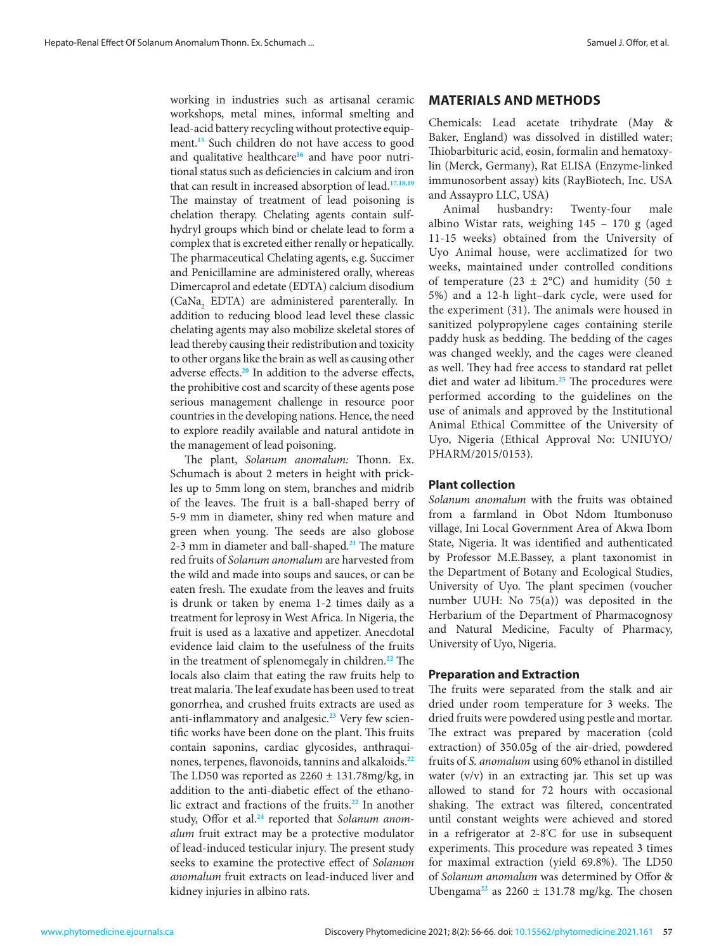working in industries such as artisanal ceramic workshops, metal mines, informal smelting and lead-acid battery recycling without protective equip-ment.<sup>[15](#page-9-0)</sup> Such children do not have access to good and qualitative healthcare**[16](#page-9-0)** and have poor nutritional status such as deficiencies in calcium and iron that can result in increased absorption of lead.**[17,18,19](#page-9-0)** The mainstay of treatment of lead poisoning is chelation therapy. Chelating agents contain sulfhydryl groups which bind or chelate lead to form a complex that is excreted either renally or hepatically. The pharmaceutical Chelating agents, e.g. Succimer and Penicillamine are administered orally, whereas Dimercaprol and edetate (EDTA) calcium disodium  $(CaNa<sub>2</sub>$  EDTA) are administered parenterally. In addition to reducing blood lead level these classic chelating agents may also mobilize skeletal stores of lead thereby causing their redistribution and toxicity to other organs like the brain as well as causing other adverse effects.**[20](#page-9-0)** In addition to the adverse effects, the prohibitive cost and scarcity of these agents pose serious management challenge in resource poor countries in the developing nations. Hence, the need to explore readily available and natural antidote in the management of lead poisoning.

The plant, *Solanum anomalum:* Thonn. Ex. Schumach is about 2 meters in height with prickles up to 5mm long on stem, branches and midrib of the leaves. The fruit is a ball-shaped berry of 5-9 mm in diameter, shiny red when mature and green when young. The seeds are also globose 2-3 mm in diameter and ball-shaped.**[21](#page-9-0)** The mature red fruits of *Solanum anomalum* are harvested from the wild and made into soups and sauces, or can be eaten fresh. The exudate from the leaves and fruits is drunk or taken by enema 1-2 times daily as a treatment for leprosy in West Africa. In Nigeria, the fruit is used as a laxative and appetizer. Anecdotal evidence laid claim to the usefulness of the fruits in the treatment of splenomegaly in children.**[22](#page-9-0)** The locals also claim that eating the raw fruits help to treat malaria. The leaf exudate has been used to treat gonorrhea, and crushed fruits extracts are used as anti-inflammatory and analgesic.**[23](#page-9-0)** Very few scientific works have been done on the plant. This fruits contain saponins, cardiac glycosides, anthraquinones, terpenes, flavonoids, tannins and alkaloids.**[22](#page-9-0)** The LD50 was reported as  $2260 \pm 131.78$ mg/kg, in addition to the anti-diabetic effect of the ethanolic extract and fractions of the fruits.**[22](#page-9-0)** In another study, Offor et al.**[24](#page-9-0)** reported that *Solanum anomalum* fruit extract may be a protective modulator of lead-induced testicular injury. The present study seeks to examine the protective effect of *Solanum anomalum* fruit extracts on lead-induced liver and kidney injuries in albino rats.

# **MATERIALS AND METHODS**

Chemicals: Lead acetate trihydrate (May & Baker, England) was dissolved in distilled water; Thiobarbituric acid, eosin, formalin and hematoxylin (Merck, Germany), Rat ELISA (Enzyme-linked immunosorbent assay) kits (RayBiotech, Inc. USA and Assaypro LLC, USA)

Animal husbandry: Twenty-four male albino Wistar rats, weighing 145 – 170 g (aged 11-15 weeks) obtained from the University of Uyo Animal house, were acclimatized for two weeks, maintained under controlled conditions of temperature (23  $\pm$  2°C) and humidity (50  $\pm$ 5%) and a 12-h light–dark cycle, were used for the experiment (31). The animals were housed in sanitized polypropylene cages containing sterile paddy husk as bedding. The bedding of the cages was changed weekly, and the cages were cleaned as well. They had free access to standard rat pellet diet and water ad libitum.**[25](#page-9-0)** The procedures were performed according to the guidelines on the use of animals and approved by the Institutional Animal Ethical Committee of the University of Uyo, Nigeria (Ethical Approval No: UNIUYO/ PHARM/2015/0153).

# **Plant collection**

*Solanum anomalum* with the fruits was obtained from a farmland in Obot Ndom Itumbonuso village, Ini Local Government Area of Akwa Ibom State, Nigeria. It was identified and authenticated by Professor M.E.Bassey, a plant taxonomist in the Department of Botany and Ecological Studies, University of Uyo. The plant specimen (voucher number UUH: No 75(a)) was deposited in the Herbarium of the Department of Pharmacognosy and Natural Medicine, Faculty of Pharmacy, University of Uyo, Nigeria.

# **Preparation and Extraction**

The fruits were separated from the stalk and air dried under room temperature for 3 weeks. The dried fruits were powdered using pestle and mortar. The extract was prepared by maceration (cold extraction) of 350.05g of the air-dried, powdered fruits of *S. anomalum* using 60% ethanol in distilled water (v/v) in an extracting jar. This set up was allowed to stand for 72 hours with occasional shaking. The extract was filtered, concentrated until constant weights were achieved and stored in a refrigerator at 2-8° C for use in subsequent experiments. This procedure was repeated 3 times for maximal extraction (yield 69.8%). The LD50 of *Solanum anomalum* was determined by Offor & Ubengama<sup>[22](#page-9-0)</sup> as  $2260 \pm 131.78$  mg/kg. The chosen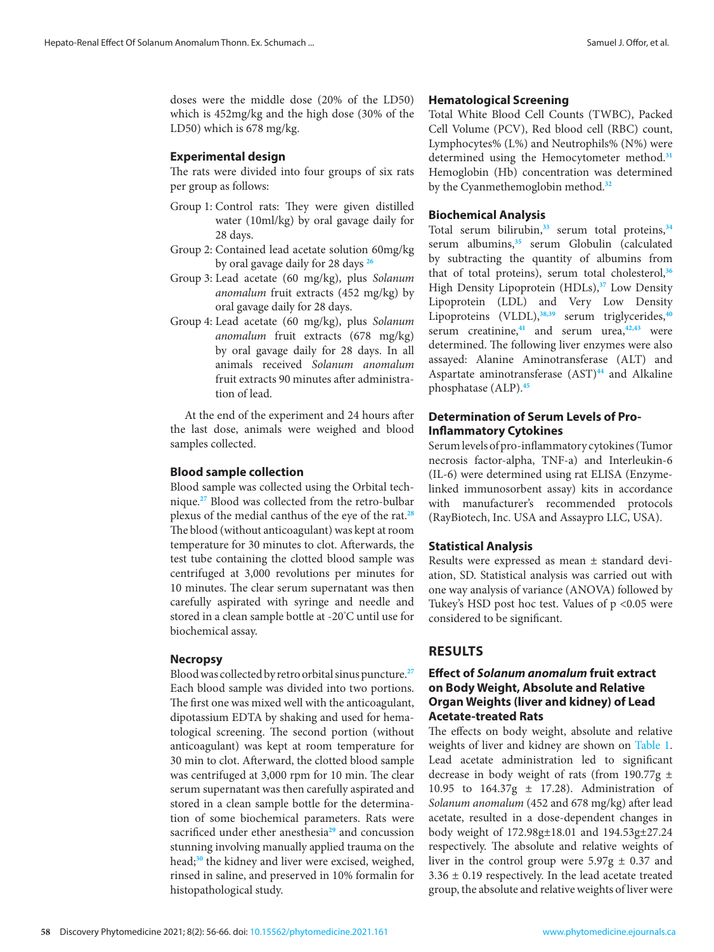doses were the middle dose (20% of the LD50) which is 452mg/kg and the high dose (30% of the LD50) which is 678 mg/kg.

### **Experimental design**

The rats were divided into four groups of six rats per group as follows:

- Group 1: Control rats: They were given distilled water (10ml/kg) by oral gavage daily for 28 days.
- Group 2: Contained lead acetate solution 60mg/kg by oral gavage daily for 28 days **[26](#page-9-0)**
- Group 3: Lead acetate (60 mg/kg), plus *Solanum anomalum* fruit extracts (452 mg/kg) by oral gavage daily for 28 days.
- Group 4: Lead acetate (60 mg/kg), plus *Solanum anomalum* fruit extracts (678 mg/kg) by oral gavage daily for 28 days. In all animals received *Solanum anomalum*  fruit extracts 90 minutes after administration of lead.

At the end of the experiment and 24 hours after the last dose, animals were weighed and blood samples collected.

### **Blood sample collection**

Blood sample was collected using the Orbital technique.**[27](#page-9-0)** Blood was collected from the retro-bulbar plexus of the medial canthus of the eye of the rat.**[28](#page-9-0)** The blood (without anticoagulant) was kept at room temperature for 30 minutes to clot. Afterwards, the test tube containing the clotted blood sample was centrifuged at 3,000 revolutions per minutes for 10 minutes. The clear serum supernatant was then carefully aspirated with syringe and needle and stored in a clean sample bottle at -20° C until use for biochemical assay.

### **Necropsy**

Blood was collected by retro orbital sinus puncture.**[27](#page-9-0)** Each blood sample was divided into two portions. The first one was mixed well with the anticoagulant, dipotassium EDTA by shaking and used for hematological screening. The second portion (without anticoagulant) was kept at room temperature for 30 min to clot. Afterward, the clotted blood sample was centrifuged at 3,000 rpm for 10 min. The clear serum supernatant was then carefully aspirated and stored in a clean sample bottle for the determination of some biochemical parameters. Rats were sacrificed under ether anesthesia**[29](#page-9-0)** and concussion stunning involving manually applied trauma on the head;**[30](#page-9-0)** the kidney and liver were excised, weighed, rinsed in saline, and preserved in 10% formalin for histopathological study.

#### **Hematological Screening**

Total White Blood Cell Counts (TWBC), Packed Cell Volume (PCV), Red blood cell (RBC) count, Lymphocytes% (L%) and Neutrophils% (N%) were determined using the Hemocytometer method.**[31](#page-9-0)** Hemoglobin (Hb) concentration was determined by the Cyanmethemoglobin method.**[32](#page-9-0)**

### **Biochemical Analysis**

Total serum bilirubin,**[33](#page-9-0)** serum total proteins,**[34](#page-9-0)** serum albumins,**[35](#page-9-0)** serum Globulin (calculated by subtracting the quantity of albumins from that of total proteins), serum total cholesterol,**[36](#page-9-0)** High Density Lipoprotein (HDLs),**[37](#page-9-0)** Low Density Lipoprotein (LDL) and Very Low Density Lipoproteins (VLDL),**[38,39](#page-9-0)** serum triglycerides,**[40](#page-10-0)** serum creatinine,**[41](#page-10-0)** and serum urea,**[42,43](#page-10-0)** were determined. The following liver enzymes were also assayed: Alanine Aminotransferase (ALT) and Aspartate aminotransferase (AST)**[44](#page-10-0)** and Alkaline phosphatase (ALP).**[45](#page-10-0)**

# **Determination of Serum Levels of Pro-Inflammatory Cytokines**

Serum levels of pro-inflammatory cytokines (Tumor necrosis factor-alpha, TNF-a) and Interleukin-6 (IL-6) were determined using rat ELISA (Enzymelinked immunosorbent assay) kits in accordance with manufacturer's recommended protocols (RayBiotech, Inc. USA and Assaypro LLC, USA).

### **Statistical Analysis**

Results were expressed as mean ± standard deviation, SD. Statistical analysis was carried out with one way analysis of variance (ANOVA) followed by Tukey's HSD post hoc test. Values of p <0.05 were considered to be significant.

### **RESULTS**

# **Effect of** *Solanum anomalum* **fruit extract on Body Weight, Absolute and Relative Organ Weights (liver and kidney) of Lead Acetate-treated Rats**

The effects on body weight, absolute and relative weights of liver and kidney are shown on [Table 1.](#page-3-0) Lead acetate administration led to significant decrease in body weight of rats (from 190.77g ± 10.95 to 164.37g ± 17.28). Administration of *Solanum anomalum* (452 and 678 mg/kg) after lead acetate, resulted in a dose-dependent changes in body weight of 172.98g±18.01 and 194.53g±27.24 respectively. The absolute and relative weights of liver in the control group were  $5.97g \pm 0.37$  and  $3.36 \pm 0.19$  respectively. In the lead acetate treated group, the absolute and relative weights of liver were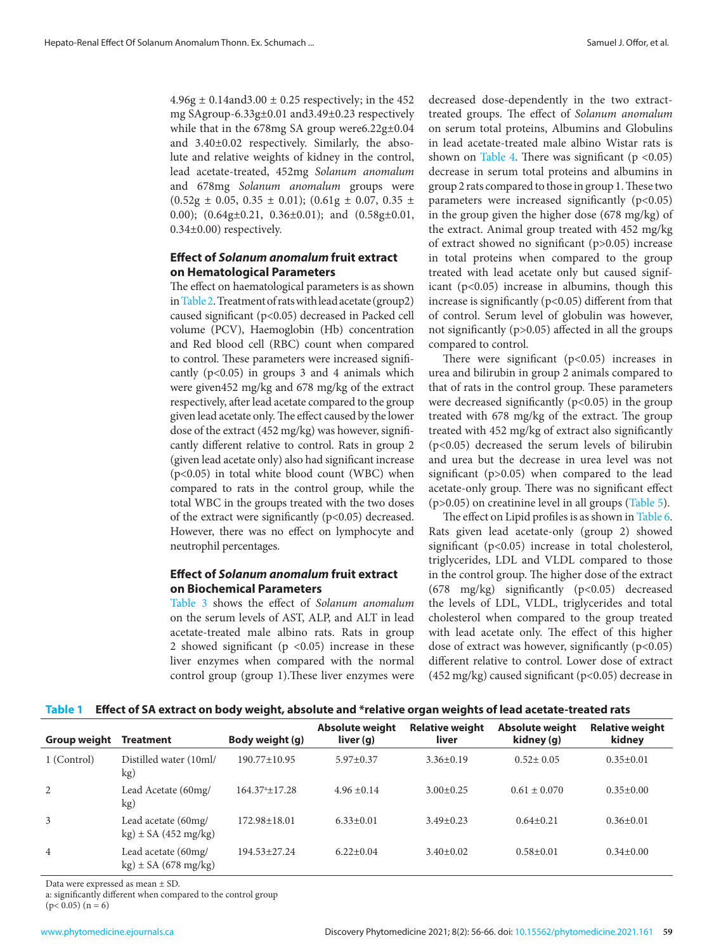<span id="page-3-0"></span> $4.96g \pm 0.14$ and $3.00 \pm 0.25$  respectively; in the 452 mg SAgroup-6.33g±0.01 and3.49±0.23 respectively while that in the 678mg SA group were6.22g±0.04 and 3.40±0.02 respectively. Similarly, the absolute and relative weights of kidney in the control, lead acetate-treated, 452mg *Solanum anomalum* and 678mg *Solanum anomalum* groups were  $(0.52g \pm 0.05, 0.35 \pm 0.01); (0.61g \pm 0.07, 0.35 \pm 0.01)$ 0.00); (0.64g±0.21, 0.36±0.01); and (0.58g±0.01, 0.34±0.00) respectively.

# **Effect of** *Solanum anomalum* **fruit extract on Hematological Parameters**

The effect on haematological parameters is as shown in [Table 2.](#page-4-0) Treatment of rats with lead acetate (group2) caused significant (p<0.05) decreased in Packed cell volume (PCV), Haemoglobin (Hb) concentration and Red blood cell (RBC) count when compared to control. These parameters were increased significantly  $(p<0.05)$  in groups 3 and 4 animals which were given452 mg/kg and 678 mg/kg of the extract respectively, after lead acetate compared to the group given lead acetate only. The effect caused by the lower dose of the extract (452 mg/kg) was however, significantly different relative to control. Rats in group 2 (given lead acetate only) also had significant increase (p<0.05) in total white blood count (WBC) when compared to rats in the control group, while the total WBC in the groups treated with the two doses of the extract were significantly  $(p<0.05)$  decreased. However, there was no effect on lymphocyte and neutrophil percentages.

# **Effect of** *Solanum anomalum* **fruit extract on Biochemical Parameters**

[Table 3](#page-4-0) shows the effect of *Solanum anomalum* on the serum levels of AST, ALP, and ALT in lead acetate-treated male albino rats. Rats in group 2 showed significant ( $p$  <0.05) increase in these liver enzymes when compared with the normal control group (group 1).These liver enzymes were decreased dose-dependently in the two extracttreated groups. The effect of *Solanum anomalum*  on serum total proteins, Albumins and Globulins in lead acetate-treated male albino Wistar rats is shown on [Table 4.](#page-4-0) There was significant ( $p < 0.05$ ) decrease in serum total proteins and albumins in group 2 rats compared to those in group 1. These two parameters were increased significantly  $(p<0.05)$ in the group given the higher dose (678 mg/kg) of the extract. Animal group treated with 452 mg/kg of extract showed no significant (p>0.05) increase in total proteins when compared to the group treated with lead acetate only but caused significant (p<0.05) increase in albumins, though this increase is significantly  $(p<0.05)$  different from that of control. Serum level of globulin was however, not significantly (p>0.05) affected in all the groups compared to control.

There were significant  $(p<0.05)$  increases in urea and bilirubin in group 2 animals compared to that of rats in the control group. These parameters were decreased significantly  $(p<0.05)$  in the group treated with 678 mg/kg of the extract. The group treated with 452 mg/kg of extract also significantly (p<0.05) decreased the serum levels of bilirubin and urea but the decrease in urea level was not significant (p>0.05) when compared to the lead acetate-only group. There was no significant effect (p>0.05) on creatinine level in all groups [\(Table 5\)](#page-5-0).

The effect on Lipid profiles is as shown in [Table 6.](#page-5-0) Rats given lead acetate-only (group 2) showed significant (p<0.05) increase in total cholesterol, triglycerides, LDL and VLDL compared to those in the control group. The higher dose of the extract (678 mg/kg) significantly (p<0.05) decreased the levels of LDL, VLDL, triglycerides and total cholesterol when compared to the group treated with lead acetate only. The effect of this higher dose of extract was however, significantly  $(p<0.05)$ different relative to control. Lower dose of extract (452 mg/kg) caused significant (p<0.05) decrease in

| Table 1 Effect of SA extract on body weight, absolute and *relative organ weights of lead acetate-treated rats |  |  |
|----------------------------------------------------------------------------------------------------------------|--|--|
|                                                                                                                |  |  |

| <b>Group weight</b> | <b>Treatment</b>                                | Body weight (g)         | <b>Absolute weight</b><br>liver (g) | <b>Relative weight</b><br>liver | Absolute weight<br>kidney (g) | <b>Relative weight</b><br>kidney |
|---------------------|-------------------------------------------------|-------------------------|-------------------------------------|---------------------------------|-------------------------------|----------------------------------|
| 1 (Control)         | Distilled water (10ml/<br>kg)                   | $190.77 \pm 10.95$      | $5.97 \pm 0.37$                     | $3.36\pm0.19$                   | $0.52 \pm 0.05$               | $0.35 \pm 0.01$                  |
| 2                   | Lead Acetate (60mg/<br>kg)                      | $164.37^{\circ}$ ±17.28 | $4.96 + 0.14$                       | $3.00 \pm 0.25$                 | $0.61 \pm 0.070$              | $0.35 \pm 0.00$                  |
| 3                   | Lead acetate (60mg/<br>$kg) \pm SA$ (452 mg/kg) | $172.98 \pm 18.01$      | $6.33 \pm 0.01$                     | $3.49 \pm 0.23$                 | $0.64 \pm 0.21$               | $0.36 \pm 0.01$                  |
| $\overline{4}$      | Lead acetate (60mg/<br>$kg) \pm SA$ (678 mg/kg) | $194.53 \pm 27.24$      | $6.22 \pm 0.04$                     | $3.40 \pm 0.02$                 | $0.58 \pm 0.01$               | $0.34 \pm 0.00$                  |

Data were expressed as mean ± SD.

a: significantly different when compared to the control group  $(p< 0.05)$   $(n = 6)$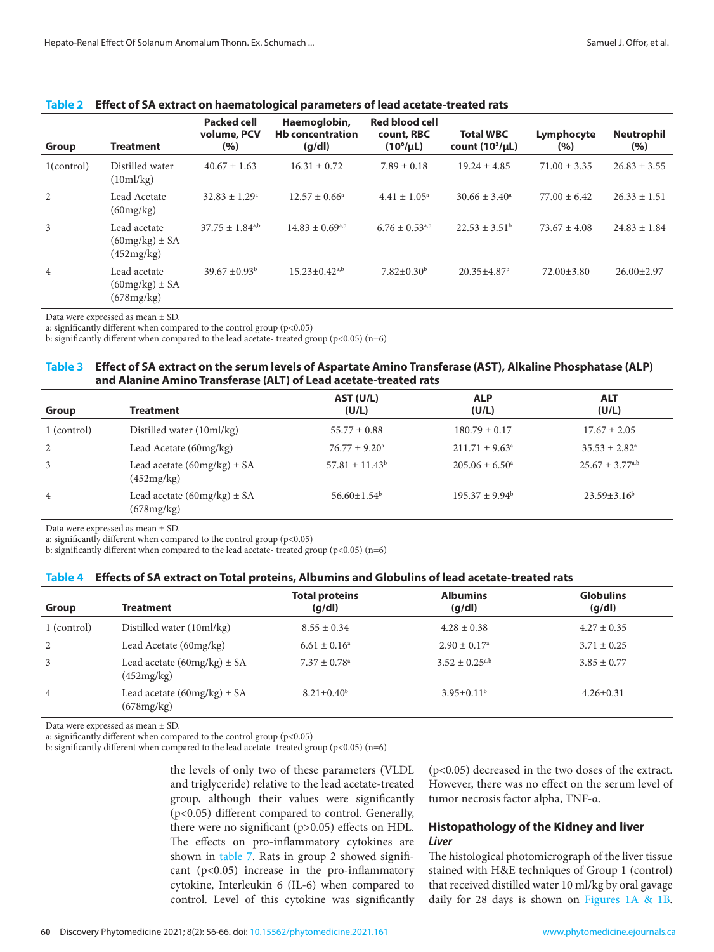| Group          | <b>Treatment</b>                                 | <b>Packed cell</b><br>volume, PCV<br>(%) | Haemoglobin,<br><b>Hb concentration</b><br>(q/dl) | <b>Red blood cell</b><br>count, RBC<br>$(10^6/\mu L)$ | <b>Total WBC</b><br>count $(10^3/\mu L)$ | Lymphocyte<br>(%) | <b>Neutrophil</b><br>(%) |
|----------------|--------------------------------------------------|------------------------------------------|---------------------------------------------------|-------------------------------------------------------|------------------------------------------|-------------------|--------------------------|
| $1$ (control)  | Distilled water<br>(10m]/kg)                     | $40.67 \pm 1.63$                         | $16.31 \pm 0.72$                                  | $7.89 \pm 0.18$                                       | $19.24 \pm 4.85$                         | $71.00 \pm 3.35$  | $26.83 \pm 3.55$         |
| 2              | Lead Acetate<br>(60mg/kg)                        | $32.83 \pm 1.29^{\circ}$                 | $12.57 \pm 0.66^{\circ}$                          | $4.41 \pm 1.05^{\circ}$                               | $30.66 \pm 3.40^{\circ}$                 | $77.00 \pm 6.42$  | $26.33 \pm 1.51$         |
| 3              | Lead acetate<br>$(60mg/kg) \pm SA$<br>(452mg/kg) | $37.75 \pm 1.84$ <sup>a,b</sup>          | $14.83 \pm 0.69^{a,b}$                            | $6.76 \pm 0.53^{a,b}$                                 | $22.53 \pm 3.51^{\circ}$                 | $73.67 \pm 4.08$  | $24.83 \pm 1.84$         |
| $\overline{4}$ | Lead acetate<br>$(60mg/kg) \pm SA$<br>(678mg/kg) | $39.67 \pm 0.93^{\rm b}$                 | $15.23 \pm 0.42^{a,b}$                            | $7.82 \pm 0.30^{\rm b}$                               | $20.35 \pm 4.87$ <sup>b</sup>            | $72.00 \pm 3.80$  | $26.00 \pm 2.97$         |

#### <span id="page-4-0"></span>**Table 2 Effect of SA extract on haematological parameters of lead acetate-treated rats**

Data were expressed as mean ± SD.

a: significantly different when compared to the control group  $(p<0.05)$ 

b: significantly different when compared to the lead acetate- treated group ( $p$ <0.05) ( $n$ =6)

#### **Table 3 Effect of SA extract on the serum levels of Aspartate Amino Transferase (AST), Alkaline Phosphatase (ALP) and Alanine Amino Transferase (ALT) of Lead acetate-treated rats**

| <b>Group</b>   | <b>Treatment</b>                              | AST (U/L)<br>(U/L)       | <b>ALP</b><br>(U/L)       | <b>ALT</b><br>(U/L)      |
|----------------|-----------------------------------------------|--------------------------|---------------------------|--------------------------|
| 1 (control)    | Distilled water (10ml/kg)                     | $55.77 \pm 0.88$         | $180.79 \pm 0.17$         | $17.67 \pm 2.05$         |
| 2              | Lead Acetate (60mg/kg)                        | $76.77 \pm 9.20^{\circ}$ | $211.71 \pm 9.63^{\circ}$ | $35.53 \pm 2.82^{\circ}$ |
| 3              | Lead acetate $(60mg/kg) \pm SA$<br>(452mg/kg) | $57.81 \pm 11.43^b$      | $205.06 \pm 6.50^{\circ}$ | $25.67 \pm 3.77^{a,b}$   |
| $\overline{4}$ | Lead acetate $(60mg/kg) \pm SA$<br>(678mg/kg) | $56.60 \pm 1.54^{\rm b}$ | $195.37 \pm 9.94^{\circ}$ | $23.59 \pm 3.16^b$       |

Data were expressed as mean ± SD.

a: significantly different when compared to the control group ( $p$ <0.05)

b: significantly different when compared to the lead acetate- treated group (p<0.05) (n=6)

#### **Table 4 Effects of SA extract on Total proteins, Albumins and Globulins of lead acetate-treated rats**

| Group          | <b>Treatment</b>                              | <b>Total proteins</b><br>(q/dl) | <b>Albumins</b><br>(g/dl) | <b>Globulins</b><br>(g/dl) |
|----------------|-----------------------------------------------|---------------------------------|---------------------------|----------------------------|
| 1 (control)    | Distilled water (10ml/kg)                     | $8.55 \pm 0.34$                 | $4.28 \pm 0.38$           | $4.27 \pm 0.35$            |
| 2              | Lead Acetate (60mg/kg)                        | $6.61 \pm 0.16^a$               | $2.90 \pm 0.17^{\circ}$   | $3.71 \pm 0.25$            |
| 3              | Lead acetate $(60mg/kg) \pm SA$<br>(452mg/kg) | $7.37 \pm 0.78$ <sup>a</sup>    | $3.52 \pm 0.25^{a,b}$     | $3.85 \pm 0.77$            |
| $\overline{4}$ | Lead acetate $(60mg/kg) \pm SA$<br>(678mg/kg) | $8.21 \pm 0.40^b$               | $3.95 \pm 0.11^b$         | $4.26 \pm 0.31$            |

Data were expressed as mean ± SD.

a: significantly different when compared to the control group (p<0.05)

b: significantly different when compared to the lead acetate- treated group ( $p$ <0.05) (n=6)

the levels of only two of these parameters (VLDL and triglyceride) relative to the lead acetate-treated group, although their values were significantly (p<0.05) different compared to control. Generally, there were no significant (p>0.05) effects on HDL. The effects on pro-inflammatory cytokines are shown in [table 7.](#page-5-0) Rats in group 2 showed significant (p<0.05) increase in the pro-inflammatory cytokine, Interleukin 6 (IL-6) when compared to control. Level of this cytokine was significantly

(p<0.05) decreased in the two doses of the extract. However, there was no effect on the serum level of tumor necrosis factor alpha, TNF-α.

# **Histopathology of the Kidney and liver** *Liver*

The histological photomicrograph of the liver tissue stained with H&E techniques of Group 1 (control) that received distilled water 10 ml/kg by oral gavage daily for 28 days is shown on [Figures 1A & 1B.](#page-6-0)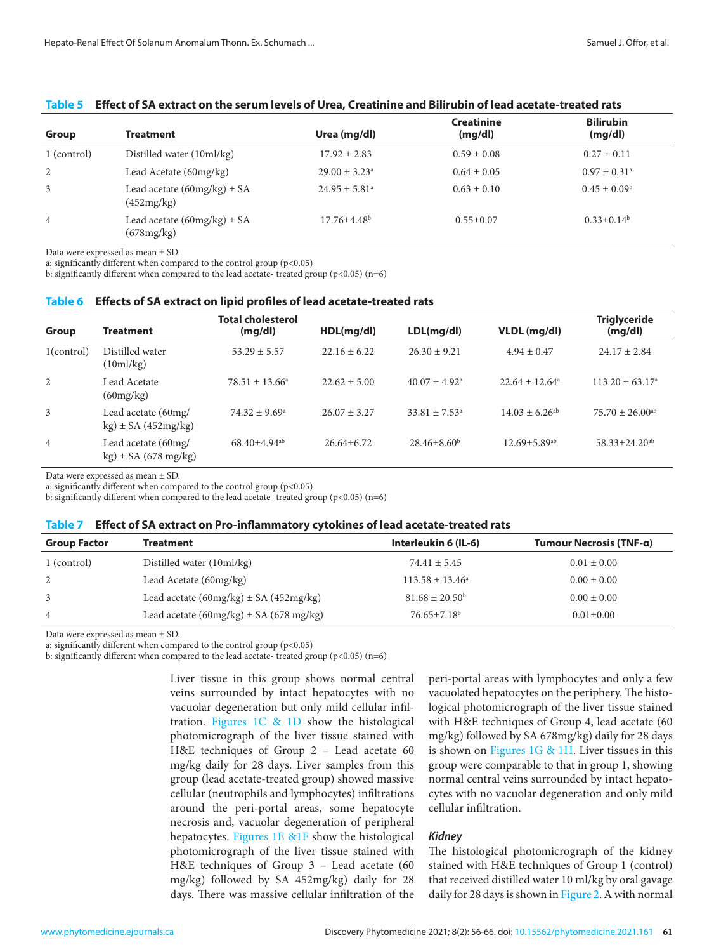| Group       | <b>Treatment</b>                              | Urea (mg/dl)                  | <b>Creatinine</b><br>(mg/dl) | <b>Bilirubin</b><br>(mg/dl) |
|-------------|-----------------------------------------------|-------------------------------|------------------------------|-----------------------------|
| 1 (control) | Distilled water (10ml/kg)                     | $17.92 \pm 2.83$              | $0.59 \pm 0.08$              | $0.27 \pm 0.11$             |
| 2           | Lead Acetate (60mg/kg)                        | $29.00 \pm 3.23^{\circ}$      | $0.64 \pm 0.05$              | $0.97 \pm 0.31^{\circ}$     |
| 3           | Lead acetate $(60mg/kg) \pm SA$<br>(452mg/kg) | $24.95 \pm 5.81$ <sup>a</sup> | $0.63 \pm 0.10$              | $0.45 \pm 0.09^{\rm b}$     |
| 4           | Lead acetate $(60mg/kg) \pm SA$<br>(678mg/kg) | $17.76 \pm 4.48$ <sup>b</sup> | $0.55 \pm 0.07$              | $0.33 \pm 0.14^b$           |

#### <span id="page-5-0"></span>**Table 5 Effect of SA extract on the serum levels of Urea, Creatinine and Bilirubin of lead acetate-treated rats**

Data were expressed as mean ± SD.

a: significantly different when compared to the control group ( $p$ <0.05)

b: significantly different when compared to the lead acetate- treated group (p<0.05) (n=6)

#### **Table 6 Effects of SA extract on lipid profiles of lead acetate-treated rats**

| Group          | <b>Treatment</b>                                | <b>Total cholesterol</b><br>(mg/dl) | HDL(mq/dl)       | LDL(mq/dl)                    | VLDL (mg/dl)                   | <b>Triglyceride</b><br>(mg/dl)  |
|----------------|-------------------------------------------------|-------------------------------------|------------------|-------------------------------|--------------------------------|---------------------------------|
| $1$ (control)  | Distilled water<br>$(10m\text{m/kg})$           | $53.29 \pm 5.57$                    | $22.16 \pm 6.22$ | $26.30 \pm 9.21$              | $4.94 \pm 0.47$                | $24.17 \pm 2.84$                |
| 2              | Lead Acetate<br>(60mg/kg)                       | $78.51 \pm 13.66^{\circ}$           | $22.62 \pm 5.00$ | $40.07 \pm 4.92$ <sup>a</sup> | $22.64 \pm 12.64^{\circ}$      | $113.20 \pm 63.17^{\circ}$      |
| 3              | Lead acetate (60mg/<br>$kg) \pm SA(452mg/kg)$   | $74.32 \pm 9.69^{\circ}$            | $26.07 \pm 3.27$ | $33.81 \pm 7.53^{\circ}$      | $14.03 \pm 6.26^{ab}$          | $75.70 \pm 26.00$ <sup>ab</sup> |
| $\overline{4}$ | Lead acetate (60mg/<br>$kg) \pm SA$ (678 mg/kg) | $68.40 \pm 4.94$ <sup>ab</sup>      | $26.64 \pm 6.72$ | $28.46 \pm 8.60^b$            | $12.69 \pm 5.89$ <sup>ab</sup> | $58.33 \pm 24.20$ <sup>ab</sup> |

Data were expressed as mean ± SD.

a: significantly different when compared to the control group (p<0.05)

b: significantly different when compared to the lead acetate- treated group ( $p$ <0.05) ( $n=6$ )

#### **Table 7 Effect of SA extract on Pro-inflammatory cytokines of lead acetate-treated rats**

| <b>Group Factor</b> | <b>Treatment</b>                            | Interleukin 6 (IL-6)       | Tumour Necrosis (TNF-a) |
|---------------------|---------------------------------------------|----------------------------|-------------------------|
| 1 (control)         | Distilled water (10ml/kg)                   | $74.41 \pm 5.45$           | $0.01 \pm 0.00$         |
| 2                   | Lead Acetate (60mg/kg)                      | $113.58 \pm 13.46^{\circ}$ | $0.00 \pm 0.00$         |
| 3                   | Lead acetate $(60mg/kg) \pm SA (452mg/kg)$  | $81.68 \pm 20.50^{\rm b}$  | $0.00 \pm 0.00$         |
| $\overline{4}$      | Lead acetate $(60mg/kg) \pm SA (678 mg/kg)$ | $76.65 \pm 7.18^b$         | $0.01 \pm 0.00$         |

Data were expressed as mean ± SD.

a: significantly different when compared to the control group  $(p<0.05)$ 

b: significantly different when compared to the lead acetate- treated group ( $p$ <0.05) ( $n$ =6)

Liver tissue in this group shows normal central veins surrounded by intact hepatocytes with no vacuolar degeneration but only mild cellular infiltration. [Figures 1C & 1D](#page-6-0) show the histological photomicrograph of the liver tissue stained with H&E techniques of Group 2 – Lead acetate 60 mg/kg daily for 28 days. Liver samples from this group (lead acetate-treated group) showed massive cellular (neutrophils and lymphocytes) infiltrations around the peri-portal areas, some hepatocyte necrosis and, vacuolar degeneration of peripheral hepatocytes. [Figures 1E &1F](#page-6-0) show the histological photomicrograph of the liver tissue stained with H&E techniques of Group 3 – Lead acetate (60 mg/kg) followed by SA 452mg/kg) daily for 28 days. There was massive cellular infiltration of the

peri-portal areas with lymphocytes and only a few vacuolated hepatocytes on the periphery. The histological photomicrograph of the liver tissue stained with H&E techniques of Group 4, lead acetate (60 mg/kg) followed by SA 678mg/kg) daily for 28 days is shown on Figures  $1G \& 1H$ . Liver tissues in this group were comparable to that in group 1, showing normal central veins surrounded by intact hepatocytes with no vacuolar degeneration and only mild cellular infiltration.

#### *Kidney*

The histological photomicrograph of the kidney stained with H&E techniques of Group 1 (control) that received distilled water 10 ml/kg by oral gavage daily for 28 days is shown in [Figure 2](#page-7-0). A with normal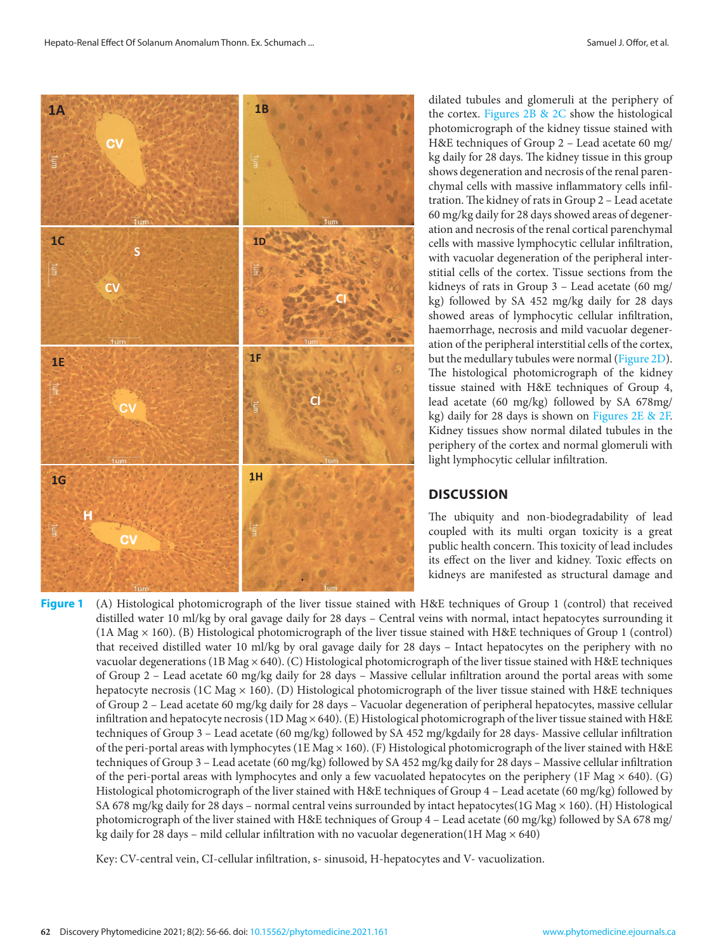<span id="page-6-0"></span>

dilated tubules and glomeruli at the periphery of the cortex. Figures 2B & 2C show the histological photomicrograph of the kidney tissue stained with H&E techniques of Group 2 – Lead acetate 60 mg/ kg daily for 28 days. The kidney tissue in this group shows degeneration and necrosis of the renal parenchymal cells with massive inflammatory cells infiltration. The kidney of rats in Group 2 – Lead acetate 60 mg/kg daily for 28 days showed areas of degeneration and necrosis of the renal cortical parenchymal cells with massive lymphocytic cellular infiltration, with vacuolar degeneration of the peripheral interstitial cells of the cortex. Tissue sections from the kidneys of rats in Group 3 – Lead acetate (60 mg/ kg) followed by SA 452 mg/kg daily for 28 days showed areas of lymphocytic cellular infiltration, haemorrhage, necrosis and mild vacuolar degeneration of the peripheral interstitial cells of the cortex, but the medullary tubules were normal (Figure 2D). The histological photomicrograph of the kidney tissue stained with H&E techniques of Group 4, lead acetate (60 mg/kg) followed by SA 678mg/ kg) daily for 28 days is shown on Figures 2E & 2F. Kidney tissues show normal dilated tubules in the periphery of the cortex and normal glomeruli with light lymphocytic cellular infiltration.

# **DISCUSSION**

The ubiquity and non-biodegradability of lead coupled with its multi organ toxicity is a great public health concern. This toxicity of lead includes its effect on the liver and kidney. Toxic effects on kidneys are manifested as structural damage and

**Figure 1** (A) Histological photomicrograph of the liver tissue stained with H&E techniques of Group 1 (control) that received distilled water 10 ml/kg by oral gavage daily for 28 days – Central veins with normal, intact hepatocytes surrounding it (1A Mag × 160). (B) Histological photomicrograph of the liver tissue stained with H&E techniques of Group 1 (control) that received distilled water 10 ml/kg by oral gavage daily for 28 days – Intact hepatocytes on the periphery with no vacuolar degenerations (1B Mag × 640). (C) Histological photomicrograph of the liver tissue stained with H&E techniques of Group 2 – Lead acetate 60 mg/kg daily for 28 days – Massive cellular infiltration around the portal areas with some hepatocyte necrosis (1C Mag  $\times$  160). (D) Histological photomicrograph of the liver tissue stained with H&E techniques of Group 2 – Lead acetate 60 mg/kg daily for 28 days – Vacuolar degeneration of peripheral hepatocytes, massive cellular infiltration and hepatocyte necrosis (1D Mag  $\times$  640). (E) Histological photomicrograph of the liver tissue stained with H&E techniques of Group 3 – Lead acetate (60 mg/kg) followed by SA 452 mg/kgdaily for 28 days- Massive cellular infiltration of the peri-portal areas with lymphocytes (1E Mag  $\times$  160). (F) Histological photomicrograph of the liver stained with H&E techniques of Group 3 – Lead acetate (60 mg/kg) followed by SA 452 mg/kg daily for 28 days – Massive cellular infiltration of the peri-portal areas with lymphocytes and only a few vacuolated hepatocytes on the periphery (1F Mag  $\times$  640). (G) Histological photomicrograph of the liver stained with H&E techniques of Group 4 – Lead acetate (60 mg/kg) followed by SA 678 mg/kg daily for 28 days – normal central veins surrounded by intact hepatocytes(1G Mag  $\times$  160). (H) Histological photomicrograph of the liver stained with H&E techniques of Group 4 – Lead acetate (60 mg/kg) followed by SA 678 mg/ kg daily for 28 days – mild cellular infiltration with no vacuolar degeneration(1H Mag  $\times$  640)

Key: CV-central vein, CI-cellular infiltration, s- sinusoid, H-hepatocytes and V- vacuolization.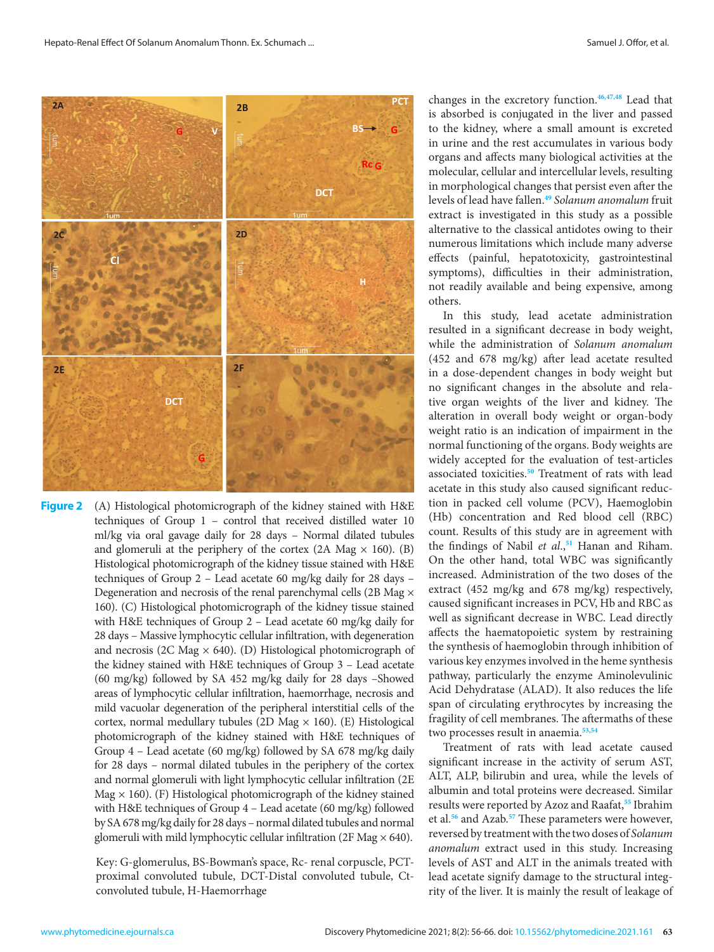<span id="page-7-0"></span>

and glomeruli at the periphery of the cortex (2A Mag  $\times$  160). (B) Histological photomicrograph of the kidney tissue stained with H&E techniques of Group 2 - Lead acetate 60 mg/kg daily for 28 days -Degeneration and necrosis of the renal parenchymal cells (2B Mag  $\times$ 160). (C) Histological photomicrograph of the kidney tissue stained with H&E techniques of Group 2 – Lead acetate 60 mg/kg daily for 28 days - Massive lymphocytic cellular infiltration, with degeneration and necrosis (2C Mag  $\times$  640). (D) Histological photomicrograph of **Figure 2** (A) Histological photomicrograph of the kidney stained with H&E techniques of Group 1 – control that received distilled water 10 ml/kg via oral gavage daily for 28 days – Normal dilated tubules the kidney stained with H&E techniques of Group 3 – Lead acetate (60 mg/kg) followed by SA 452 mg/kg daily for 28 days –Showed areas of lymphocytic cellular infiltration, haemorrhage, necrosis and mild vacuolar degeneration of the peripheral interstitial cells of the cortex, normal medullary tubules (2D Mag  $\times$  160). (E) Histological photomicrograph of the kidney stained with H&E techniques of Group 4 – Lead acetate (60 mg/kg) followed by SA 678 mg/kg daily for 28 days – normal dilated tubules in the periphery of the cortex and normal glomeruli with light lymphocytic cellular infiltration (2E Mag  $\times$  160). (F) Histological photomicrograph of the kidney stained with H&E techniques of Group 4 – Lead acetate (60 mg/kg) followed by SA 678 mg/kg daily for 28 days – normal dilated tubules and normal glomeruli with mild lymphocytic cellular infiltration (2F Mag  $\times$  640).

> Key: G-glomerulus, BS-Bowman's space, Rc- renal corpuscle, PCTproximal convoluted tubule, DCT-Distal convoluted tubule, Ctconvoluted tubule, H-Haemorrhage

changes in the excretory function.**[46,47,48](#page-10-0)** Lead that is absorbed is conjugated in the liver and passed to the kidney, where a small amount is excreted in urine and the rest accumulates in various body organs and affects many biological activities at the molecular, cellular and intercellular levels, resulting in morphological changes that persist even after the levels of lead have fallen.**[49](#page-10-0)** *Solanum anomalum* fruit extract is investigated in this study as a possible alternative to the classical antidotes owing to their numerous limitations which include many adverse effects (painful, hepatotoxicity, gastrointestinal symptoms), difficulties in their administration, not readily available and being expensive, among others.

In this study, lead acetate administration resulted in a significant decrease in body weight, while the administration of *Solanum anomalum*  (452 and 678 mg/kg) after lead acetate resulted in a dose-dependent changes in body weight but no significant changes in the absolute and relative organ weights of the liver and kidney. The alteration in overall body weight or organ-body weight ratio is an indication of impairment in the normal functioning of the organs. Body weights are widely accepted for the evaluation of test-articles associated toxicities.**[50](#page-10-0)** Treatment of rats with lead acetate in this study also caused significant reduction in packed cell volume (PCV), Haemoglobin (Hb) concentration and Red blood cell (RBC) count. Results of this study are in agreement with the findings of Nabil *et al*.,**[51](#page-10-0)** Hanan and Riham. On the other hand, total WBC was significantly increased. Administration of the two doses of the extract (452 mg/kg and 678 mg/kg) respectively, caused significant increases in PCV, Hb and RBC as well as significant decrease in WBC. Lead directly affects the haematopoietic system by restraining the synthesis of haemoglobin through inhibition of various key enzymes involved in the heme synthesis pathway, particularly the enzyme Aminolevulinic Acid Dehydratase (ALAD). It also reduces the life span of circulating erythrocytes by increasing the fragility of cell membranes. The aftermaths of these two processes result in anaemia.**[53,54](#page-10-0)**

Treatment of rats with lead acetate caused significant increase in the activity of serum AST, ALT, ALP, bilirubin and urea, while the levels of albumin and total proteins were decreased. Similar results were reported by Azoz and Raafat,**[55](#page-10-0)** Ibrahim et al.**[56](#page-10-0)** and Azab.**[57](#page-10-0)** These parameters were however, reversed by treatment with the two doses of *Solanum anomalum* extract used in this study. Increasing levels of AST and ALT in the animals treated with lead acetate signify damage to the structural integrity of the liver. It is mainly the result of leakage of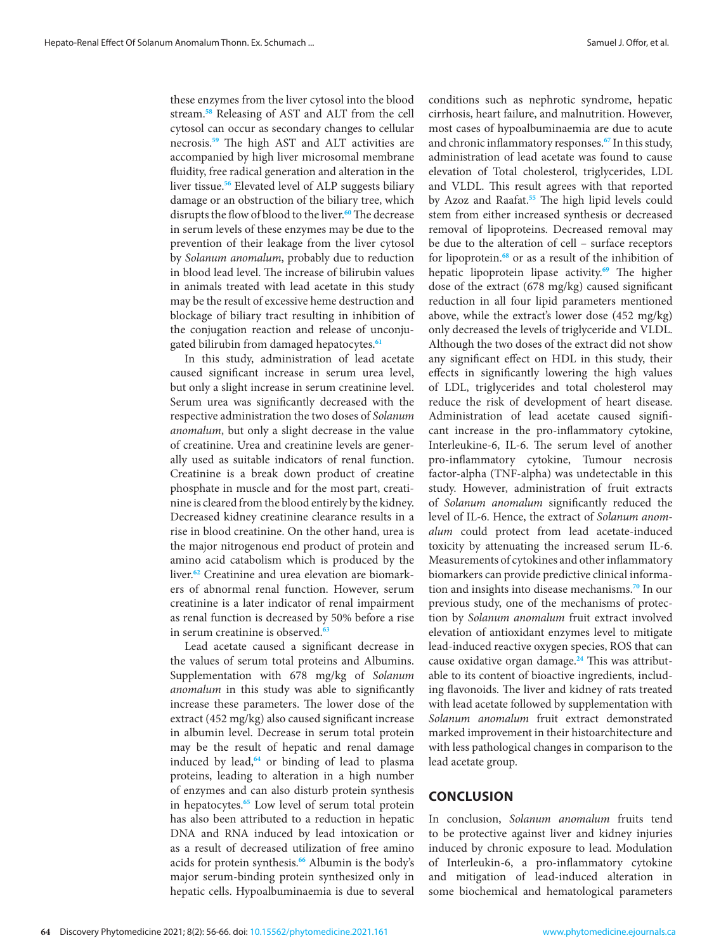these enzymes from the liver cytosol into the blood stream.**[58](#page-10-0)** Releasing of AST and ALT from the cell cytosol can occur as secondary changes to cellular necrosis.**[59](#page-10-0)** The high AST and ALT activities are accompanied by high liver microsomal membrane fluidity, free radical generation and alteration in the liver tissue.**[56](#page-10-0)** Elevated level of ALP suggests biliary damage or an obstruction of the biliary tree, which disrupts the flow of blood to the liver.**[60](#page-10-0)** The decrease in serum levels of these enzymes may be due to the prevention of their leakage from the liver cytosol by *Solanum anomalum*, probably due to reduction in blood lead level. The increase of bilirubin values in animals treated with lead acetate in this study may be the result of excessive heme destruction and blockage of biliary tract resulting in inhibition of the conjugation reaction and release of unconjugated bilirubin from damaged hepatocytes.**[61](#page-10-0)**

In this study, administration of lead acetate caused significant increase in serum urea level, but only a slight increase in serum creatinine level. Serum urea was significantly decreased with the respective administration the two doses of *Solanum anomalum*, but only a slight decrease in the value of creatinine. Urea and creatinine levels are generally used as suitable indicators of renal function. Creatinine is a break down product of creatine phosphate in muscle and for the most part, creatinine is cleared from the blood entirely by the kidney. Decreased kidney creatinine clearance results in a rise in blood creatinine. On the other hand, urea is the major nitrogenous end product of protein and amino acid catabolism which is produced by the liver.**[62](#page-10-0)** Creatinine and urea elevation are biomarkers of abnormal renal function. However, serum creatinine is a later indicator of renal impairment as renal function is decreased by 50% before a rise in serum creatinine is observed.**[63](#page-10-0)**

Lead acetate caused a significant decrease in the values of serum total proteins and Albumins. Supplementation with 678 mg/kg of *Solanum anomalum* in this study was able to significantly increase these parameters. The lower dose of the extract (452 mg/kg) also caused significant increase in albumin level. Decrease in serum total protein may be the result of hepatic and renal damage induced by lead,**[64](#page-10-0)** or binding of lead to plasma proteins, leading to alteration in a high number of enzymes and can also disturb protein synthesis in hepatocytes.**[65](#page-10-0)** Low level of serum total protein has also been attributed to a reduction in hepatic DNA and RNA induced by lead intoxication or as a result of decreased utilization of free amino acids for protein synthesis.**[66](#page-10-0)** Albumin is the body's major serum-binding protein synthesized only in hepatic cells. Hypoalbuminaemia is due to several

conditions such as nephrotic syndrome, hepatic cirrhosis, heart failure, and malnutrition. However, most cases of hypoalbuminaemia are due to acute and chronic inflammatory responses.**[67](#page-10-0)** In this study, administration of lead acetate was found to cause elevation of Total cholesterol, triglycerides, LDL and VLDL. This result agrees with that reported by Azoz and Raafat.**[55](#page-10-0)** The high lipid levels could stem from either increased synthesis or decreased removal of lipoproteins. Decreased removal may be due to the alteration of cell – surface receptors for lipoprotein.**[68](#page-10-0)** or as a result of the inhibition of hepatic lipoprotein lipase activity.**[69](#page-10-0)** The higher dose of the extract (678 mg/kg) caused significant reduction in all four lipid parameters mentioned above, while the extract's lower dose (452 mg/kg) only decreased the levels of triglyceride and VLDL. Although the two doses of the extract did not show any significant effect on HDL in this study, their effects in significantly lowering the high values of LDL, triglycerides and total cholesterol may reduce the risk of development of heart disease. Administration of lead acetate caused significant increase in the pro-inflammatory cytokine, Interleukine-6, IL-6. The serum level of another pro-inflammatory cytokine, Tumour necrosis factor-alpha (TNF-alpha) was undetectable in this study. However, administration of fruit extracts of *Solanum anomalum* significantly reduced the level of IL-6. Hence, the extract of *Solanum anomalum* could protect from lead acetate-induced toxicity by attenuating the increased serum IL-6. Measurements of cytokines and other inflammatory biomarkers can provide predictive clinical information and insights into disease mechanisms.**[70](#page-10-0)** In our previous study, one of the mechanisms of protection by *Solanum anomalum* fruit extract involved elevation of antioxidant enzymes level to mitigate lead-induced reactive oxygen species, ROS that can cause oxidative organ damage.**[24](#page-9-0)** This was attributable to its content of bioactive ingredients, including flavonoids. The liver and kidney of rats treated with lead acetate followed by supplementation with *Solanum anomalum* fruit extract demonstrated marked improvement in their histoarchitecture and with less pathological changes in comparison to the lead acetate group.

# **CONCLUSION**

In conclusion, *Solanum anomalum* fruits tend to be protective against liver and kidney injuries induced by chronic exposure to lead. Modulation of Interleukin-6, a pro-inflammatory cytokine and mitigation of lead-induced alteration in some biochemical and hematological parameters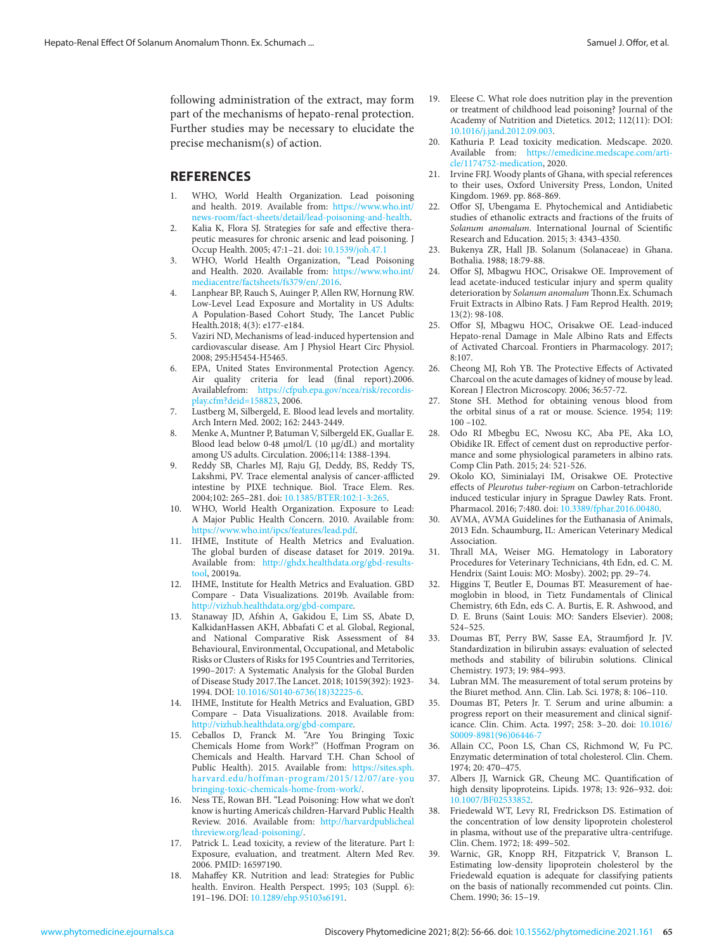<span id="page-9-0"></span>following administration of the extract, may form part of the mechanisms of hepato-renal protection. Further studies may be necessary to elucidate the precise mechanism(s) of action.

# **REFERENCES**

- 1. WHO, World Health Organization. Lead poisoning and health. 2019. Available from: [https://www.who.int/](https://www.who.int/news-room/fact-sheets/detail/lead-poisoning-and-health) [news-room/fact-sheets/detail/lead-poisoning-and-health.](https://www.who.int/news-room/fact-sheets/detail/lead-poisoning-and-health)
- 2. Kalia K, Flora SJ. Strategies for safe and effective therapeutic measures for chronic arsenic and lead poisoning. J Occup Health. 2005; 47:1–21. [doi: 10.1539/joh.47.1](https://doi.org/10.1539/joh.47.1)
- 3. WHO, World Health Organization, "Lead Poisoning and Health. 2020. Available from: [https://www.who.int/](https://www.who.int/mediacentre/factsheets/fs379/en/.2016) [mediacentre/factsheets/fs379/en/.2016.](https://www.who.int/mediacentre/factsheets/fs379/en/.2016)
- 4. Lanphear BP, Rauch S, Auinger P, Allen RW, Hornung RW. Low-Level Lead Exposure and Mortality in US Adults: A Population-Based Cohort Study, The Lancet Public Health*.*2018; 4(3): e177-e184.
- Vaziri ND, Mechanisms of lead-induced hypertension and cardiovascular disease. Am J Physiol Heart Circ Physiol. 2008; 295:H5454-H5465.
- 6. EPA, United States Environmental Protection Agency. Air quality criteria for lead (final report).2006. Availablefrom: [https://cfpub.epa.gov/ncea/risk/recordis](https://cfpub.epa.gov/ncea/risk/recordisplay.cfm?deid=158823)[play.cfm?deid=158823,](https://cfpub.epa.gov/ncea/risk/recordisplay.cfm?deid=158823) 2006.
- 7. Lustberg M, Silbergeld, E. Blood lead levels and mortality. Arch Intern Med. 2002; 162: 2443-2449.
- 8. Menke A, Muntner P, Batuman V, Silbergeld EK, Guallar E. Blood lead below 0·48 μmol/L (10 μg/dL) and mortality among US adults. Circulation. 2006;114: 1388-1394.
- 9. Reddy SB, Charles MJ, Raju GJ, Deddy, BS, Reddy TS, Lakshmi, PV. Trace elemental analysis of cancer-afflicted intestine by PIXE technique. Biol. Trace Elem. Res. 2004;102: 265–281. [doi: 10.1385/BTER:102:1-3:265.](https://doi.org/10.1385/BTER:102:1-3:265)
- 10. WHO, World Health Organization. Exposure to Lead: A Major Public Health Concern. 2010. Available from: [https://www.who.int/ipcs/features/lead.pdf.](https://www.who.int/ipcs/features/lead.pdf)
- 11. IHME, Institute of Health Metrics and Evaluation. The global burden of disease dataset for 2019. 2019a. Available from: [http://ghdx.healthdata.org/gbd-results](http://ghdx.healthdata.org/gbd-results-tool)[tool,](http://ghdx.healthdata.org/gbd-results-tool) 20019a.
- 12. IHME, Institute for Health Metrics and Evaluation. GBD Compare - Data Visualizations. 2019b. Available from: [http://vizhub.healthdata.org/gbd-compare.](http://vizhub.healthdata.org/gbd-compare)
- 13. Stanaway JD, Afshin A, Gakidou E, Lim SS, Abate D, KalkidanHassen AKH, Abbafati C et al. Global, Regional, and National Comparative Risk Assessment of 84 Behavioural, Environmental, Occupational, and Metabolic Risks or Clusters of Risks for 195 Countries and Territories, 1990–2017: A Systematic Analysis for the Global Burden of Disease Study 2017.The Lancet. 2018; 10159(392): 1923- 1994. [DOI: 10.1016/S0140-6736\(18\)32225-6.](https://doi.org/10.1016/S0140-6736(18)32225-6)
- 14. IHME, Institute for Health Metrics and Evaluation, GBD Compare – Data Visualizations. 2018. Available from: [http://vizhub.healthdata.org/gbd-compare.](http://vizhub.healthdata.org/gbd-compare)
- 15. Ceballos D, Franck M. "Are You Bringing Toxic Chemicals Home from Work?" (Hoffman Program on Chemicals and Health. Harvard T.H. Chan School of Public Health). 2015. Available from: [https://sites.sph.](https://sites.sph.harvard.edu/hoffman-program/2015/12/07/are-you bringing-toxic-chemicals-home-from-work/) [harvard.edu/hoffman-program/2015/12/07/are-you](https://sites.sph.harvard.edu/hoffman-program/2015/12/07/are-you bringing-toxic-chemicals-home-from-work/) [bringing-toxic-chemicals-home-from-work/.](https://sites.sph.harvard.edu/hoffman-program/2015/12/07/are-you bringing-toxic-chemicals-home-from-work/)
- 16. Ness TE, Rowan BH. "Lead Poisoning: How what we don't know is hurting America's children-Harvard Public Health Review. 2016. Available from: [http://harvardpublicheal](http://harvardpublicheal threview.org/lead-poisoning/)  [threview.org/lead-poisoning/.](http://harvardpublicheal threview.org/lead-poisoning/)
- 17. Patrick L. Lead toxicity, a review of the literature. Part I: Exposure, evaluation, and treatment. Altern Med Rev. 2006. PMID: 16597190.
- 18. Mahaffey KR. Nutrition and lead: Strategies for Public health. Environ. Health Perspect. 1995; 103 (Suppl. 6): 191–196. [DOI: 10.1289/ehp.95103s6191.](https://doi.org/10.1289/ehp.95103s6191)
- 19. Eleese C. What role does nutrition play in the prevention or treatment of childhood lead poisoning? Journal of the Academy of Nutrition and Dietetics. 2012; 112(11): DOI: [10.1016/j.jand.2012.09.003.](https://doi.org/10.1016/j.jand.2012.09.003)
- 20. Kathuria P. Lead toxicity medication. Medscape. 2020. [Available from: https://emedicine.medscape.com/arti](https://emedicine.medscape.com/arti-cle/1174752-medication)cle/1174752-medication, 2020.
- 21. Irvine FRJ. Woody plants of Ghana, with special references to their uses, Oxford University Press, London, United Kingdom. 1969. pp. 868-869.
- Offor SJ, Ubengama E. Phytochemical and Antidiabetic studies of ethanolic extracts and fractions of the fruits of *Solanum anomalum*. International Journal of Scientific Research and Education. 2015; 3: 4343-4350.
- 23. Bukenya ZR, Hall JB. Solanum (Solanaceae) in Ghana. Bothalia. 1988; 18:79-88.
- 24. Offor SJ, Mbagwu HOC, Orisakwe OE. Improvement of lead acetate-induced testicular injury and sperm quality deterioration by *Solanum anomalum* Thonn.Ex. Schumach Fruit Extracts in Albino Rats. J Fam Reprod Health. 2019; 13(2): 98-108.
- 25. Offor SJ, Mbagwu HOC, Orisakwe OE. Lead-induced Hepato-renal Damage in Male Albino Rats and Effects of Activated Charcoal. Frontiers in Pharmacology. 2017; 8:107.
- 26. Cheong MJ, Roh YB. The Protective Effects of Activated Charcoal on the acute damages of kidney of mouse by lead. Korean J Electron Microscopy. 2006; 36:57-72.
- 27. Stone SH. Method for obtaining venous blood from the orbital sinus of a rat or mouse. Science. 1954; 119:  $100 - 102$ .
- 28. Odo RI Mbegbu EC, Nwosu KC, Aba PE, Aka LO, Obidike IR. Effect of cement dust on reproductive performance and some physiological parameters in albino rats. Comp Clin Path. 2015; 24: 521-526.
- 29. Okolo KO, Siminialayi IM, Orisakwe OE. Protective effects of *Pleurotus tuber-regium* on Carbon-tetrachloride induced testicular injury in Sprague Dawley Rats. Front. Pharmacol. 2016; 7:480. [doi: 10.3389/fphar.2016.00480.](https://doi.org/10.3389/fphar.2016.00480)
- 30. AVMA, AVMA Guidelines for the Euthanasia of Animals, 2013 Edn. Schaumburg, IL: American Veterinary Medical Association.
- 31. Thrall MA, Weiser MG. Hematology in Laboratory Procedures for Veterinary Technicians, 4th Edn, ed. C. M. Hendrix (Saint Louis: MO: Mosby). 2002; pp. 29–74.
- 32. Higgins T, Beutler E, Doumas BT. Measurement of haemoglobin in blood, in Tietz Fundamentals of Clinical Chemistry, 6th Edn, eds C. A. Burtis, E. R. Ashwood, and D. E. Bruns (Saint Louis: MO: Sanders Elsevier). 2008; 524–525.
- 33. Doumas BT, Perry BW, Sasse EA, Straumfjord Jr. JV. Standardization in bilirubin assays: evaluation of selected methods and stability of bilirubin solutions. Clinical Chemistry. 1973; 19: 984–993.
- Lubran MM. The measurement of total serum proteins by the Biuret method. Ann. Clin. Lab. Sci. 1978; 8: 106–110.
- 35. Doumas BT, Peters Jr. T. Serum and urine albumin: a progress report on their measurement and clinical significance. Clin. Chim. Acta. 1997; 258: 3–20. [doi: 10.1016/](https://doi.org/10.1016/S0009-8981(96)06446-7) [S0009-8981\(96\)06446-7](https://doi.org/10.1016/S0009-8981(96)06446-7)
- 36. Allain CC, Poon LS, Chan CS, Richmond W, Fu PC. Enzymatic determination of total cholesterol. Clin. Chem. 1974; 20: 470–475.
- 37. Albers JJ, Warnick GR, Cheung MC. Quantification of high density lipoproteins. Lipids. 1978; 13: 926–932. doi: 10.1007/BF025
- 38. Friedewald WT, Levy RI, Fredrickson DS. Estimation of the concentration of low density lipoprotein cholesterol in plasma, without use of the preparative ultra-centrifuge. Clin. Chem. 1972; 18: 499–502.
- 39. Warnic, GR, Knopp RH, Fitzpatrick V, Branson L. Estimating low-density lipoprotein cholesterol by the Friedewald equation is adequate for classifying patients on the basis of nationally recommended cut points. Clin. Chem. 1990; 36: 15–19.